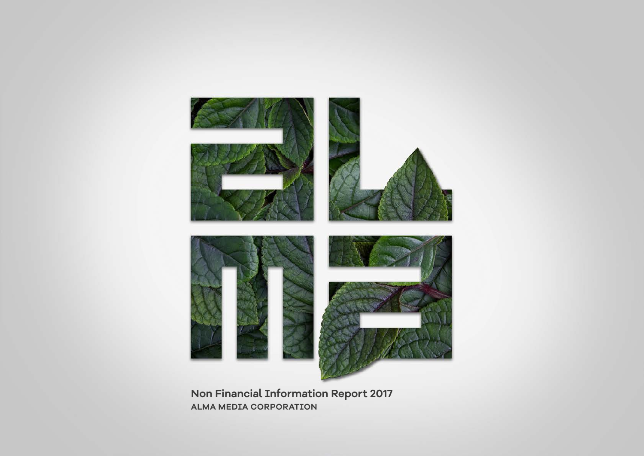

**Non Financial Information Report 2017 ALMA MEDIA CORPORATION**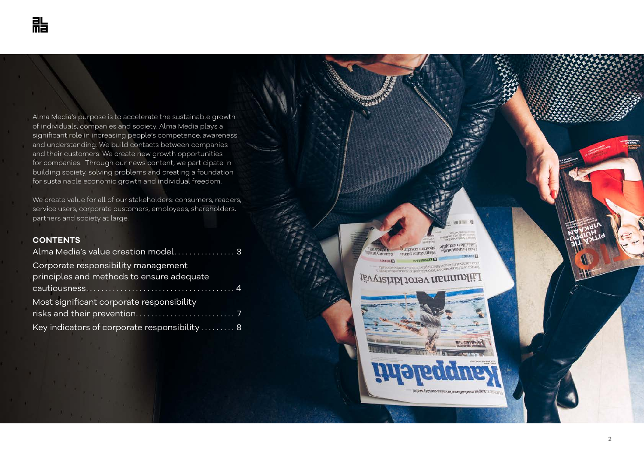Alma Media's purpose is to accelerate the sustainable growth of individuals, companies and society. Alma Media plays a significant role in increasing people's competence, awareness and understanding. We build contacts between companies and their customers. We create new growth opportunities for companies. Through our news content, we participate in building society, solving problems and creating a foundation for sustainable economic growth and individual freedom.

We create value for all of our stakeholders: consumers, readers, service users, corporate customers, employees, shareholders, partners and society at large.

## **CONTENTS**

| Alma Media's value creation model 3                                              |
|----------------------------------------------------------------------------------|
| Corporate responsibility management<br>principles and methods to ensure adequate |
|                                                                                  |
| Most significant corporate responsibility                                        |
|                                                                                  |
| Key indicators of corporate responsibility  8                                    |

allitationi allizoliul these stand main **Storists** and EESLI Бутыватуры

推线 1

## anskild reatriffictional restructured from the team<br>to the maturisoficquality as interesting three teams<br>**RAATSOTS IT** JÖV VISLIDI JOISV RENNIDILIL

**Trivil** 

**FEDERAL** 



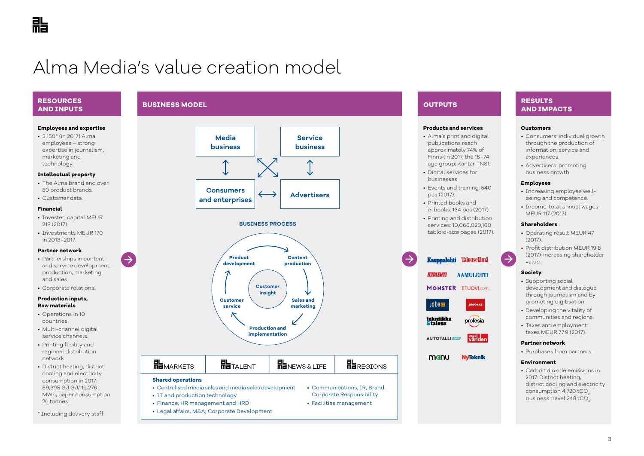# Alma Media's value creation model

**BUSINESS MODEL**

#### **RESOURCES AND INPUTS**

#### **Employees and expertise**

• 3,150\* (in 2017) Alma employees – strong expertise in journalism, marketing and technology.

#### **Intellectual property**

- The Alma brand and over 50 product brands.
- Customer data.

#### **Financial**

- Invested capital MEUR 218 (2017).
- Investments MEUR 170 in 2013–2017.

#### **Partner network**

• Partnerships in content and service development, production, marketing and sales.

 $\rightarrow$ 

• Corporate relations.

#### **Production inputs, Raw materials**

- Operations in 10 countries.
- Multi-channel digital service channels.
- Printing facility and regional distribution network.
- District heating, district cooling and electricity consumption in 2017: 69,395 GJ GJ/ 19,276 MWh, paper consumption 26 tonnes.
- \* Including delivery staff

# **Media business Consumers and enterprises Service business Advertisers**





## **OUTPUTS**

#### **Products and services**

- Alma's print and digital publications reach approximately 74% of Finns (in 2017, the 15–74 age group, Kantar TNS).
- Digital services for businesses.
- Events and training: 540 pcs (2017).
- Printed books and e-books: 134 pcs (2017).
- Printing and distribution services: 10,066,020,160 tabloid-size pages (2017).

#### Kauppalehti Talouselämä

**ILTALEHTI** 

**MONSTER ETUOVI.com** 

**AAMULEHTI** 



affärs<br>Vär den **AUTOTALLI** 

manu **NyTeknik** 

### **RESULTS AND IMPACTS**

#### **Customers**

- Consumers: individual growth through the production of information, service and experiences.
- Advertisers: promoting business growth.

#### **Employees**

- Increasing employee wellbeing and competence.
- Income: total annual wages MEUR 117 (2017).

#### **Shareholders**

- Operating result MEUR 47 (2017).
- Profit distribution MEUR 19.8 (2017), increasing shareholder value.

#### **Society**

 $\rightarrow$ 

- Supporting social development and dialogue through journalism and by promoting digitisation.
- Developing the vitality of communities and regions.
- Taxes and employment: taxes MEUR 77.9 (2017).

#### **Partner network**

• Purchases from partners.

#### **Environment**

• Carbon dioxide emissions in 2017: District heating, district cooling and electricity consumption 4,720 tCO $_{\rm 2}$ business travel  $248$  tCO<sub>2</sub>. .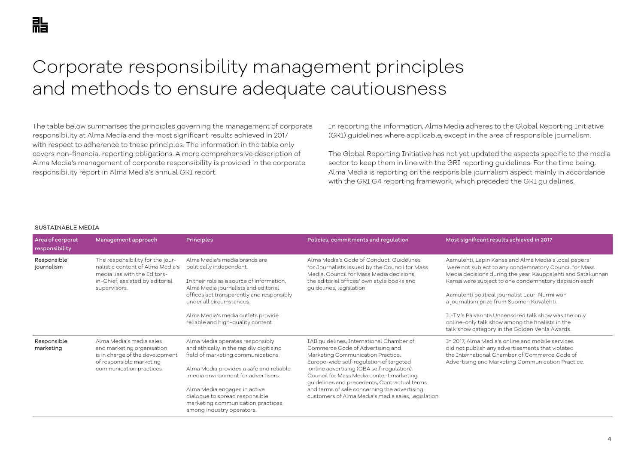# Corporate responsibility management principles and methods to ensure adequate cautiousness

The table below summarises the principles governing the management of corporate responsibility at Alma Media and the most significant results achieved in 2017 with respect to adherence to these principles. The information in the table only covers non-financial reporting obligations. A more comprehensive description of Alma Media's management of corporate responsibility is provided in the corporate responsibility report in Alma Media's annual GRI report.

In reporting the information, Alma Media adheres to the Global Reporting Initiative (GRI) guidelines where applicable, except in the area of responsible journalism.

The Global Reporting Initiative has not yet updated the aspects specific to the media sector to keep them in line with the GRI reporting guidelines. For the time being, Alma Media is reporting on the responsible journalism aspect mainly in accordance with the GRI G4 reporting framework, which preceded the GRI guidelines.

#### SUSTAINABLE MEDIA

| Area of corporat<br>responsibility | Management approach                                                                                                                                     | Principles                                                                                                                                                                                                                                                                                                                            | Policies, commitments and regulation                                                                                                                                                                                                                                                                                                                                                                         | Most significant results achieved in 2017                                                                                                                                                                                                                                                                                                                                                                                                                                                          |
|------------------------------------|---------------------------------------------------------------------------------------------------------------------------------------------------------|---------------------------------------------------------------------------------------------------------------------------------------------------------------------------------------------------------------------------------------------------------------------------------------------------------------------------------------|--------------------------------------------------------------------------------------------------------------------------------------------------------------------------------------------------------------------------------------------------------------------------------------------------------------------------------------------------------------------------------------------------------------|----------------------------------------------------------------------------------------------------------------------------------------------------------------------------------------------------------------------------------------------------------------------------------------------------------------------------------------------------------------------------------------------------------------------------------------------------------------------------------------------------|
| Responsible<br>journalism          | The responsibility for the jour-<br>nalistic content of Alma Media's<br>media lies with the Editors-<br>in-Chief, assisted by editorial<br>supervisors. | Alma Media's media brands are<br>politically independent.<br>In their role as a source of information,<br>Alma Media journalists and editorial<br>offices act transparently and responsibly<br>under all circumstances.<br>Alma Media's media outlets provide<br>reliable and high-quality content.                                   | Alma Media's Code of Conduct, Guidelines<br>for Journalists issued by the Council for Mass<br>Media, Council for Mass Media decisions,<br>the editorial offices' own style books and<br>guidelines, legislation.                                                                                                                                                                                             | Aamulehti, Lapin Kansa and Alma Media's local papers<br>were not subject to any condemnatory Council for Mass<br>Media decisions during the year. Kauppalehti and Satakunnan<br>Kansa were subject to one condemnatory decision each.<br>Aamulehti political journalist Lauri Nurmi won<br>a journalism prize from Suomen Kuvalehti.<br>IL-TV's Päivärinta Uncensored talk show was the only<br>online-only talk show among the finalists in the<br>talk show category in the Golden Venla Awards. |
| Responsible<br>marketing           | Alma Media's media sales<br>and marketing organisation<br>is in charge of the development<br>of responsible marketing<br>communication practices.       | Alma Media operates responsibly<br>and ethically in the rapidly digitising<br>field of marketing communications.<br>Alma Media provides a safe and reliable<br>media environment for advertisers.<br>Alma Media engages in active<br>dialogue to spread responsible<br>marketing communication practices<br>among industry operators. | IAB quidelines, International Chamber of<br>Commerce Code of Advertising and<br>Marketing Communication Practice,<br>Europe-wide self-regulation of targeted<br>online advertising (OBA self-regulation),<br>Council for Mass Media content marketing<br>guidelines and precedents, Contractual terms<br>and terms of sale concerning the advertising<br>customers of Alma Media's media sales, legislation. | In 2017, Alma Media's online and mobile services<br>did not publish any advertisements that violated<br>the International Chamber of Commerce Code of<br>Advertising and Marketing Communication Practice.                                                                                                                                                                                                                                                                                         |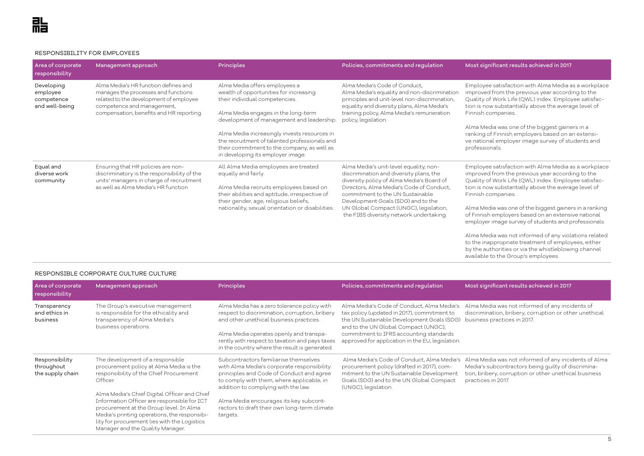#### RESPONSIBILITY FOR EMPLOYEES

| Area of corporate<br>responsibility                    | Management approach                                                                                                                                                                             | <b>Principles</b>                                                                                                                                                                                                                                                                                                                                                                  | Policies, commitments and regulation                                                                                                                                                                                                                                                                                                      | Most significant results achieved in 2017                                                                                                                                                                                                                                                                                                                                                                                                                                                                                                                                                                                                                   |
|--------------------------------------------------------|-------------------------------------------------------------------------------------------------------------------------------------------------------------------------------------------------|------------------------------------------------------------------------------------------------------------------------------------------------------------------------------------------------------------------------------------------------------------------------------------------------------------------------------------------------------------------------------------|-------------------------------------------------------------------------------------------------------------------------------------------------------------------------------------------------------------------------------------------------------------------------------------------------------------------------------------------|-------------------------------------------------------------------------------------------------------------------------------------------------------------------------------------------------------------------------------------------------------------------------------------------------------------------------------------------------------------------------------------------------------------------------------------------------------------------------------------------------------------------------------------------------------------------------------------------------------------------------------------------------------------|
| Developing<br>employee<br>competence<br>and well-being | Alma Media's HR function defines and<br>manages the processes and functions<br>related to the development of employee<br>competence and management,<br>compensation, benefits and HR reporting. | Alma Media offers employees a<br>wealth of opportunities for increasing<br>their individual competencies.<br>Alma Media engages in the long-term<br>development of management and leadership.<br>Alma Media increasingly invests resources in<br>the recruitment of talented professionals and<br>their commitment to the company, as well as<br>in developing its employer image. | Alma Media's Code of Conduct,<br>Alma Media's equality and non-discrimination<br>principles and unit-level non-discrimination,<br>equality and diversity plans, Alma Media's<br>training policy, Alma Media's remuneration<br>policy, legislation.                                                                                        | Employee satisfaction with Alma Media as a workplace<br>improved from the previous year according to the<br>Quality of Work Life (QWL) index. Employee satisfac-<br>tion is now substantially above the average level of<br>Finnish companies.<br>Alma Media was one of the biggest gainers in a<br>ranking of Finnish employers based on an extensi-<br>ve national employer image survey of students and<br>professionals.                                                                                                                                                                                                                                |
| Equal and<br>diverse work<br>community                 | Ensuring that HR policies are non-<br>discriminatory is the responsibility of the<br>units' managers in charge of recruitment<br>as well as Alma Media's HR function.                           | All Alma Media employees are treated<br>equally and fairly.<br>Alma Media recruits employees based on<br>their abilities and aptitude, irrespective of<br>their gender, age, religious beliefs,<br>nationality, sexual orientation or disabilities.                                                                                                                                | Alma Media's unit-level equality, non-<br>discrimination and diversity plans, the<br>diversity policy of Alma Media's Board of<br>Directors, Alma Media's Code of Conduct,<br>commitment to the UN Sustainable<br>Development Goals (SDG) and to the<br>UN Global Compact (UNGC), legislation,<br>the FIBS diversity network undertaking. | Employee satisfaction with Alma Media as a workplace<br>improved from the previous year according to the<br>Quality of Work Life (QWL) index. Employee satisfac-<br>tion is now substantially above the average level of<br>Finnish companies.<br>Alma Media was one of the biggest gainers in a ranking<br>of Finnish employers based on an extensive national<br>employer image survey of students and professionals.<br>$\mathbf{r}$ , and the set of the set of the set of the set of the set of the set of the set of the set of the set of the set of the set of the set of the set of the set of the set of the set of the set of the set of the set |

Alma Media was not informed of any violations related to the inappropriate treatment of employees, either by the authorities or via the whistleblowing channel available to the Group's employees.

| Area of corporate<br>responsibility              | Management approach                                                                                                                                                                                                                                                                                                                                                                                              | <b>Principles</b>                                                                                                                                                                                                                                                                                                         | Policies, commitments and regulation                                                                                                                                                                                                                                           | Most significant results achieved in 2017                                                                                                                                                 |
|--------------------------------------------------|------------------------------------------------------------------------------------------------------------------------------------------------------------------------------------------------------------------------------------------------------------------------------------------------------------------------------------------------------------------------------------------------------------------|---------------------------------------------------------------------------------------------------------------------------------------------------------------------------------------------------------------------------------------------------------------------------------------------------------------------------|--------------------------------------------------------------------------------------------------------------------------------------------------------------------------------------------------------------------------------------------------------------------------------|-------------------------------------------------------------------------------------------------------------------------------------------------------------------------------------------|
| Transparency<br>and ethics in<br>business        | The Group's executive management<br>is responsible for the ethicality and<br>transparency of Alma Media's<br>business operations.                                                                                                                                                                                                                                                                                | Alma Media has a zero tolerance policy with<br>respect to discrimination, corruption, bribery<br>and other unethical business practices.<br>Alma Media operates openly and transpa-<br>rently with respect to taxation and pays taxes<br>in the country where the result is generated.                                    | Alma Media's Code of Conduct, Alma Media's<br>tax policy (updated in 2017), commitment to<br>the UN Sustainable Development Goals (SDG)<br>and to the UN Global Compact (UNGC),<br>commitment to IFRS accounting standards<br>approved for application in the EU, legislation. | Alma Media was not informed of any incidents of<br>discrimination, bribery, corruption or other unethical<br>business practices in 2017.                                                  |
| Responsibility<br>throughout<br>the supply chain | The development of a responsible<br>procurement policy at Alma Media is the<br>responsibility of the Chief Procurement<br>Officer.<br>Alma Media's Chief Digital Officer and Chief<br>Information Officer are responsible for ICT<br>procurement at the Group level. In Alma<br>Media's printing operations, the responsibi-<br>lity for procurement lies with the Logistics<br>Manager and the Quality Manager. | Subcontractors familiarise themselves<br>with Alma Media's corporate responsibility<br>principles and Code of Conduct and agree<br>to comply with them, where applicable, in<br>addition to complying with the law.<br>Alma Media encourages its key subcont-<br>ractors to draft their own long-term climate<br>targets. | Alma Media's Code of Conduct, Alma Media's<br>procurement policy (drafted in 2017), com-<br>mitment to the UN Sustainable Development<br>Goals (SDG) and to the UN Global Compact<br>(UNGC), legislation.                                                                      | Alma Media was not informed of any incidents of Alma<br>Media's subcontractors being guilty of discrimina-<br>tion, bribery, corruption or other unethical business<br>practices in 2017. |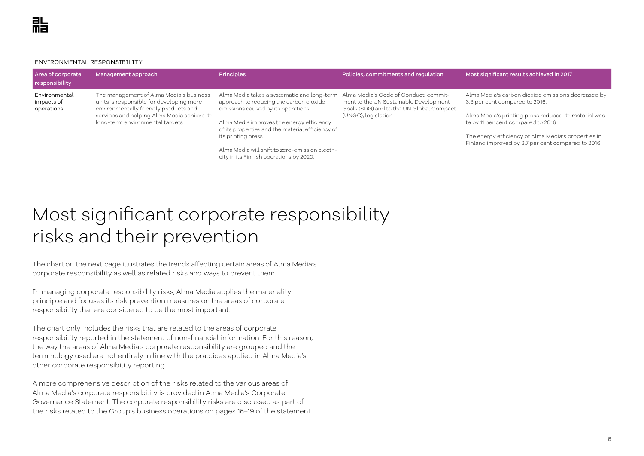ENVIRONMENTAL RESPONSIBILITY

| Area of corporate<br>responsibility       | Management approach                                                                                                                                                                                             | <b>Principles</b>                                                                                                             | Policies, commitments and regulation                                                                                        | Most significant results achieved in 2017                                                                 |
|-------------------------------------------|-----------------------------------------------------------------------------------------------------------------------------------------------------------------------------------------------------------------|-------------------------------------------------------------------------------------------------------------------------------|-----------------------------------------------------------------------------------------------------------------------------|-----------------------------------------------------------------------------------------------------------|
| Environmental<br>impacts of<br>operations | The management of Alma Media's business<br>units is responsible for developing more<br>environmentally friendly products and<br>services and helping Alma Media achieve its<br>long-term environmental targets. | Alma Media takes a systematic and long-term<br>approach to reducing the carbon dioxide<br>emissions caused by its operations. | Alma Media's Code of Conduct, commit-<br>ment to the UN Sustainable Development<br>Goals (SDG) and to the UN Global Compact | Alma Media's carbon dioxide emissions decreased by<br>3.6 per cent compared to 2016.                      |
|                                           |                                                                                                                                                                                                                 |                                                                                                                               | (UNGC), legislation.                                                                                                        | Alma Media's printing press reduced its material was-                                                     |
|                                           |                                                                                                                                                                                                                 | Alma Media improves the energy efficiency<br>of its properties and the material efficiency of                                 |                                                                                                                             | te by 11 per cent compared to 2016.                                                                       |
|                                           |                                                                                                                                                                                                                 | its printing press.                                                                                                           |                                                                                                                             | The energy efficiency of Alma Media's properties in<br>Finland improved by 3.7 per cent compared to 2016. |
|                                           |                                                                                                                                                                                                                 | Alma Media will shift to zero-emission electri-<br>city in its Finnish operations by 2020.                                    |                                                                                                                             |                                                                                                           |

# Most significant corporate responsibility risks and their prevention

The chart on the next page illustrates the trends affecting certain areas of Alma Media's corporate responsibility as well as related risks and ways to prevent them.

In managing corporate responsibility risks, Alma Media applies the materiality principle and focuses its risk prevention measures on the areas of corporate responsibility that are considered to be the most important.

The chart only includes the risks that are related to the areas of corporate responsibility reported in the statement of non-financial information. For this reason, the way the areas of Alma Media's corporate responsibility are grouped and the terminology used are not entirely in line with the practices applied in Alma Media's other corporate responsibility reporting.

A more comprehensive description of the risks related to the various areas of Alma Media's corporate responsibility is provided in Alma Media's Corporate Governance Statement. The corporate responsibility risks are discussed as part of the risks related to the Group's business operations on pages 16–19 of the statement.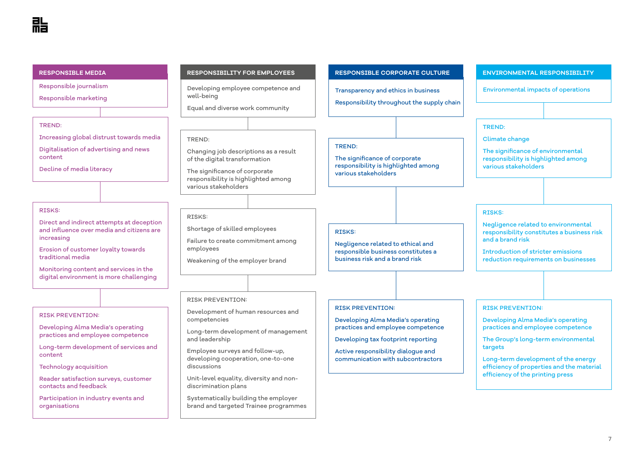Responsible journalism

Responsible marketing

#### TREND:

Increasing global distrust towards media

Digitalisation of advertising and news content

Decline of media literacy

#### RISKS:

Direct and indirect attempts at deception and influence over media and citizens are increasing

Erosion of customer loyalty towards traditional media

Monitoring content and services in the digital environment is more challenging

#### RISK PREVENTION:

Developing Alma Media's operating practices and employee competence

Long-term development of services and content

Technology acquisition

Reader satisfaction surveys, customer contacts and feedback

Participation in industry events and organisations

Developing employee competence and **Environmental impacts of operations** well-being

Equal and diverse work community

#### TREND:

Changing job descriptions as a result of the digital transformation

The significance of corporate responsibility is highlighted among various stakeholders

#### RISKS:

Shortage of skilled employees

Failure to create commitment among employees

Weakening of the employer brand

#### **RESPONSIBLE MEDIA RESPONSIBILITY FOR EMPLOYEES RESPONSIBLE CORPORATE CULTURE ENVIRONMENTAL RESPONSIBILITY**

Transparency and ethics in business

Responsibility throughout the supply chain

#### TREND:

The significance of corporate responsibility is highlighted among various stakeholders

#### RISKS:

Negligence related to ethical and responsible business constitutes a business risk and a brand risk

#### RISK PREVENTION:

Developing Alma Media's operating practices and employee competence

Developing tax footprint reporting

Active responsibility dialogue and communication with subcontractors

### TREND:

Climate change

The significance of environmental responsibility is highlighted among various stakeholders

#### RISKS:

Negligence related to environmental responsibility constitutes a business risk and a brand risk

Introduction of stricter emissions reduction requirements on businesses

#### RISK PREVENTION:

Developing Alma Media's operating practices and employee competence

The Group's long-term environmental targets

Long-term development of the energy efficiency of properties and the material efficiency of the printing press

## RISK PREVENTION:

Development of human resources and competencies

Long-term development of management and leadership

Employee surveys and follow-up, developing cooperation, one-to-one discussions

Unit-level equality, diversity and nondiscrimination plans

Systematically building the employer brand and targeted Trainee programmes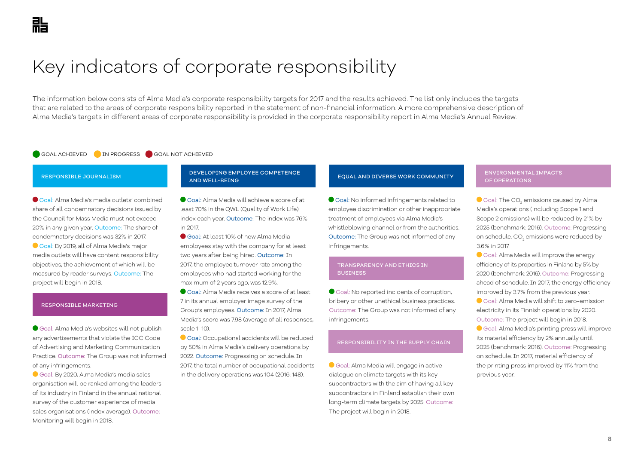# Key indicators of corporate responsibility

The information below consists of Alma Media's corporate responsibility targets for 2017 and the results achieved. The list only includes the targets that are related to the areas of corporate responsibility reported in the statement of non-financial information. A more comprehensive description of Alma Media's targets in different areas of corporate responsibility is provided in the corporate responsibility report in Alma Media's Annual Review.

#### GOAL ACHIEVED IN PROGRESS GOAL NOT ACHIEVED

#### RESPONSIBLE JOURNALISM

 Goal: Alma Media's media outlets' combined share of all condemnatory decisions issued by the Council for Mass Media must not exceed 20% in any given year. Outcome: The share of condemnatory decisions was 32% in 2017. Goal: By 2019, all of Alma Media's major media outlets will have content responsibility objectives, the achievement of which will be measured by reader surveys. Outcome: The project will begin in 2018.

#### RESPONSIBLE MARKETING

 Goal: Alma Media's websites will not publish any advertisements that violate the ICC Code of Advertising and Marketing Communication Practice. Outcome: The Group was not informed of any infringements.

 Goal: By 2020, Alma Media's media sales organisation will be ranked among the leaders of its industry in Finland in the annual national survey of the customer experience of media sales organisations (index average). Outcome: Monitoring will begin in 2018.

#### DEVELOPING EMPLOYEE COMPETENCE AND WELL-BEING

 Goal: Alma Media will achieve a score of at least 70% in the QWL (Quality of Work Life) index each year. Outcome: The index was 76% in 2017.

Goal: At least 10% of new Alma Media employees stay with the company for at least two years after being hired. Outcome: In 2017, the employee turnover rate among the employees who had started working for the maximum of 2 years ago, was 12.9%.

 Goal: Alma Media receives a score of at least 7 in its annual employer image survey of the Group's employees. Outcome: In 2017, Alma Media's score was 7.98 (average of all responses, scale 1–10).

Goal: Occupational accidents will be reduced by 50% in Alma Media's delivery operations by 2022. Outcome: Progressing on schedule. In 2017, the total number of occupational accidents in the delivery operations was 104 (2016: 148).

### EQUAL AND DIVERSE WORK COMMUNITY

Goal: No informed infringements related to employee discrimination or other inappropriate treatment of employees via Alma Media's whistleblowing channel or from the authorities. Outcome: The Group was not informed of any infringements.

#### TRANSPARENCY AND ETHICS IN **BUSTNESS**

Goal: No reported incidents of corruption, bribery or other unethical business practices. Outcome: The Group was not informed of any infringements.

#### RESPONSIBILITY IN THE SUPPLY CHAIN

Goal: Alma Media will engage in active dialogue on climate targets with its key subcontractors with the aim of having all key subcontractors in Finland establish their own long-term climate targets by 2025. Outcome: The project will begin in 2018.

#### ENVIRONMENTAL IMPACTS OF OPERATIONS

Goal: The CO $_{_2}$  emissions caused by Alma Media's operations (including Scope 1 and Scope 2 emissions) will be reduced by 21% by 2025 (benchmark: 2016). Outcome: Progressing on schedule. CO $_{\textrm{\tiny{2}}}$  emissions were reduced by 3.6% in 2017.

Goal: Alma Media will improve the energy efficiency of its properties in Finland by 5% by 2020 (benchmark: 2016). Outcome: Progressing ahead of schedule. In 2017, the energy efficiency improved by 3.7% from the previous year.

Goal: Alma Media will shift to zero-emission electricity in its Finnish operations by 2020. Outcome: The project will begin in 2018.

Goal: Alma Media's printing press will improve its material efficiency by 2% annually until 2025 (benchmark: 2016). Outcome: Progressing on schedule. In 2017, material efficiency of the printing press improved by 11% from the previous year.